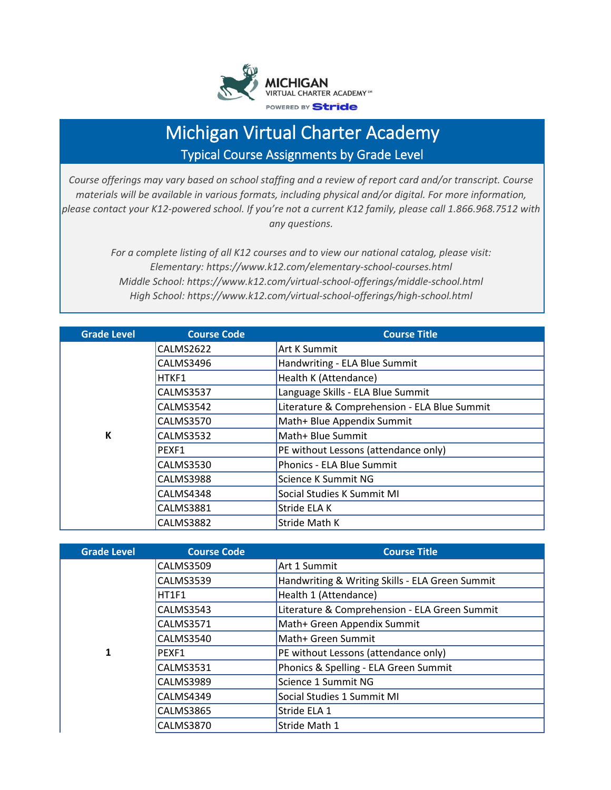

## Michigan Virtual Charter Academy Typical Course Assignments by Grade Level

*Course offerings may vary based on school staffing and a review of report card and/or transcript. Course materials will be available in various formats, including physical and/or digital. For more information, please contact your K12-powered school. If you're not a current K12 family, please call 1.866.968.7512 with any questions.*

> *For a complete listing of all K12 courses and to view our national catalog, please visit: Elementary: https://www.k12.com/elementary-school-courses.html Middle School: https://www.k12.com/virtual-school-offerings/middle-school.html High School: https://www.k12.com/virtual-school-offerings/high-school.html*

| <b>Grade Level</b> | <b>Course Code</b> | <b>Course Title</b>                          |
|--------------------|--------------------|----------------------------------------------|
|                    | CALMS2622          | Art K Summit                                 |
|                    | CALMS3496          | Handwriting - ELA Blue Summit                |
|                    | HTKF1              | Health K (Attendance)                        |
|                    | CALMS3537          | Language Skills - ELA Blue Summit            |
|                    | CALMS3542          | Literature & Comprehension - ELA Blue Summit |
|                    | CALMS3570          | Math+ Blue Appendix Summit                   |
| К                  | CALMS3532          | Math+ Blue Summit                            |
|                    | PEXF1              | PE without Lessons (attendance only)         |
|                    | <b>CALMS3530</b>   | Phonics - ELA Blue Summit                    |
|                    | <b>CALMS3988</b>   | Science K Summit NG                          |
|                    | CALMS4348          | Social Studies K Summit MI                   |
|                    | CALMS3881          | Stride ELA K                                 |
|                    | CALMS3882          | Stride Math K                                |

| <b>Grade Level</b> | <b>Course Code</b> | <b>Course Title</b>                             |
|--------------------|--------------------|-------------------------------------------------|
|                    | <b>CALMS3509</b>   | Art 1 Summit                                    |
|                    | <b>CALMS3539</b>   | Handwriting & Writing Skills - ELA Green Summit |
|                    | HT1F1              | Health 1 (Attendance)                           |
|                    | <b>CALMS3543</b>   | Literature & Comprehension - ELA Green Summit   |
|                    | <b>CALMS3571</b>   | Math+ Green Appendix Summit                     |
|                    | CALMS3540          | Math+ Green Summit                              |
| 1                  | PEXF1              | PE without Lessons (attendance only)            |
|                    | <b>CALMS3531</b>   | Phonics & Spelling - ELA Green Summit           |
|                    | <b>CALMS3989</b>   | Science 1 Summit NG                             |
|                    | CALMS4349          | Social Studies 1 Summit MI                      |
|                    | <b>CALMS3865</b>   | Stride ELA 1                                    |
|                    | <b>CALMS3870</b>   | Stride Math 1                                   |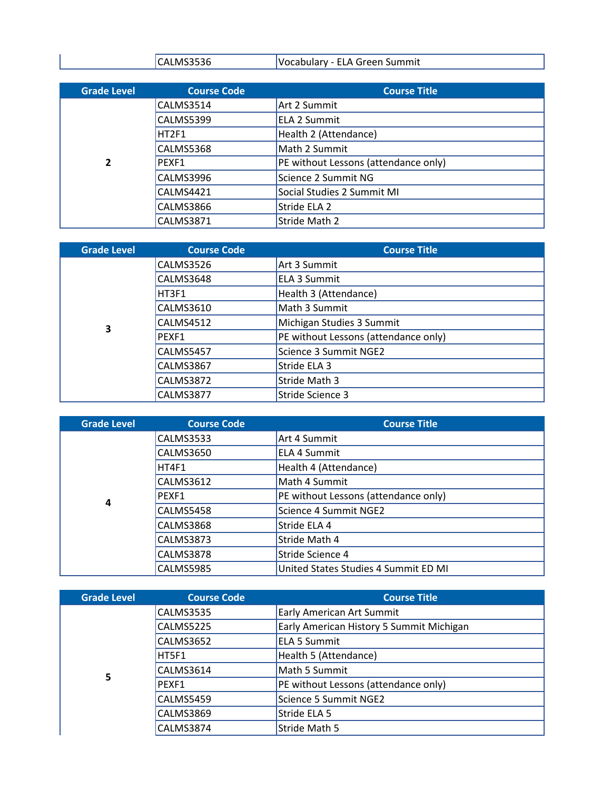| עו | .<br>- - - - - -<br>.<br>.<br>∵NITIITIIL<br>v.<br>.Julai v<br>. .<br>--<br>-- |
|----|-------------------------------------------------------------------------------|

| <b>Grade Level</b> | <b>Course Code</b> | <b>Course Title</b>                  |
|--------------------|--------------------|--------------------------------------|
|                    | CALMS3514          | Art 2 Summit                         |
|                    | CALMS5399          | <b>ELA 2 Summit</b>                  |
|                    | HT2F1              | Health 2 (Attendance)                |
|                    | CALMS5368          | Math 2 Summit                        |
| $\overline{2}$     | PEXF1              | PE without Lessons (attendance only) |
|                    | CALMS3996          | Science 2 Summit NG                  |
|                    | CALMS4421          | Social Studies 2 Summit MI           |
|                    | CALMS3866          | Stride ELA 2                         |
|                    | CALMS3871          | Stride Math 2                        |

| <b>Grade Level</b> | <b>Course Code</b> | <b>Course Title</b>                  |
|--------------------|--------------------|--------------------------------------|
|                    | CALMS3526          | Art 3 Summit                         |
|                    | CALMS3648          | <b>ELA 3 Summit</b>                  |
|                    | HT3F1              | Health 3 (Attendance)                |
|                    | <b>CALMS3610</b>   | Math 3 Summit                        |
| 3                  | CALMS4512          | Michigan Studies 3 Summit            |
|                    | PEXF1              | PE without Lessons (attendance only) |
|                    | <b>CALMS5457</b>   | Science 3 Summit NGE2                |
|                    | CALMS3867          | Stride ELA 3                         |
|                    | CALMS3872          | Stride Math 3                        |
|                    | CALMS3877          | Stride Science 3                     |

| <b>Grade Level</b> | <b>Course Code</b> | <b>Course Title</b>                  |
|--------------------|--------------------|--------------------------------------|
|                    | CALMS3533          | Art 4 Summit                         |
|                    | CALMS3650          | <b>ELA 4 Summit</b>                  |
|                    | HT4F1              | Health 4 (Attendance)                |
|                    | CALMS3612          | Math 4 Summit                        |
| 4                  | PFXF1              | PE without Lessons (attendance only) |
|                    | CALMS5458          | Science 4 Summit NGE2                |
|                    | CALMS3868          | Stride ELA 4                         |
|                    | CALMS3873          | Stride Math 4                        |
|                    | CALMS3878          | Stride Science 4                     |
|                    | <b>CALMS5985</b>   | United States Studies 4 Summit ED MI |

| <b>Grade Level</b> | <b>Course Code</b> | <b>Course Title</b>                      |
|--------------------|--------------------|------------------------------------------|
|                    | CALMS3535          | <b>Early American Art Summit</b>         |
|                    | <b>CALMS5225</b>   | Early American History 5 Summit Michigan |
|                    | CALMS3652          | <b>ELA 5 Summit</b>                      |
|                    | HT5F1              | Health 5 (Attendance)                    |
| 5                  | CALMS3614          | Math 5 Summit                            |
|                    | PEXF1              | PE without Lessons (attendance only)     |
|                    | CALMS5459          | Science 5 Summit NGE2                    |
|                    | CALMS3869          | Stride ELA 5                             |
|                    | CALMS3874          | Stride Math 5                            |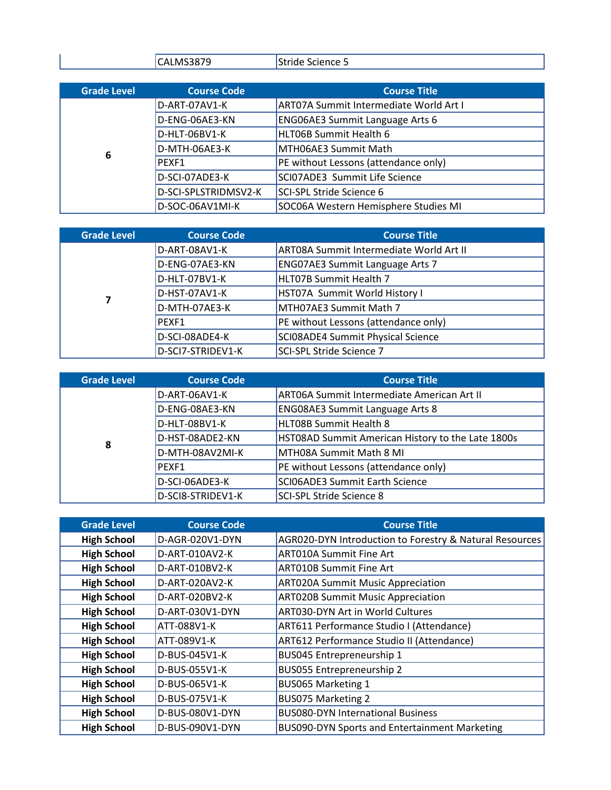| $ -$<br>__ | .<br>. |
|------------|--------|
|            |        |

| <b>Grade Level</b> | <b>Course Code</b>   | <b>Course Title</b>                           |
|--------------------|----------------------|-----------------------------------------------|
|                    | D-ART-07AV1-K        | <b>ART07A Summit Intermediate World Art I</b> |
|                    | D-ENG-06AE3-KN       | <b>ENG06AE3 Summit Language Arts 6</b>        |
|                    | D-HLT-06BV1-K        | HLT06B Summit Health 6                        |
| 6                  | D-MTH-06AE3-K        | MTH06AE3 Summit Math                          |
|                    | PEXF1                | PE without Lessons (attendance only)          |
|                    | D-SCI-07ADE3-K       | SCI07ADE3 Summit Life Science                 |
|                    | D-SCI-SPLSTRIDMSV2-K | SCI-SPL Stride Science 6                      |
|                    | D-SOC-06AV1MI-K      | SOC06A Western Hemisphere Studies MI          |

| <b>Grade Level</b> | <b>Course Code</b> | <b>Course Title</b>                            |
|--------------------|--------------------|------------------------------------------------|
|                    | D-ART-08AV1-K      | <b>ART08A Summit Intermediate World Art II</b> |
|                    | D-ENG-07AE3-KN     | ENG07AE3 Summit Language Arts 7                |
|                    | D-HLT-07BV1-K      | HLT07B Summit Health 7                         |
| 7                  | D-HST-07AV1-K      | HST07A Summit World History I                  |
|                    | D-MTH-07AE3-K      | MTH07AE3 Summit Math 7                         |
|                    | PFXF1              | PE without Lessons (attendance only)           |
|                    | D-SCI-08ADE4-K     | SCI08ADE4 Summit Physical Science              |
|                    | D-SCI7-STRIDEV1-K  | SCI-SPL Stride Science 7                       |

| <b>Grade Level</b> | <b>Course Code</b> | <b>Course Title</b>                               |
|--------------------|--------------------|---------------------------------------------------|
|                    | D-ART-06AV1-K      | <b>ART06A Summit Intermediate American Art II</b> |
|                    | D-ENG-08AE3-KN     | <b>ENG08AE3 Summit Language Arts 8</b>            |
|                    | D-HLT-08BV1-K      | <b>HLT08B Summit Health 8</b>                     |
| 8                  | D-HST-08ADE2-KN    | HST08AD Summit American History to the Late 1800s |
|                    | D-MTH-08AV2MI-K    | MTH08A Summit Math 8 MI                           |
|                    | PEXF1              | PE without Lessons (attendance only)              |
|                    | D-SCI-06ADE3-K     | <b>SCIO6ADE3 Summit Earth Science</b>             |
|                    | D-SCI8-STRIDEV1-K  | <b>SCI-SPL Stride Science 8</b>                   |

| <b>Grade Level</b> | <b>Course Code</b> | <b>Course Title</b>                                     |
|--------------------|--------------------|---------------------------------------------------------|
| <b>High School</b> | D-AGR-020V1-DYN    | AGR020-DYN Introduction to Forestry & Natural Resources |
| <b>High School</b> | D-ART-010AV2-K     | <b>ART010A Summit Fine Art</b>                          |
| <b>High School</b> | D-ART-010BV2-K     | <b>ART010B Summit Fine Art</b>                          |
| <b>High School</b> | D-ART-020AV2-K     | <b>ART020A Summit Music Appreciation</b>                |
| <b>High School</b> | D-ART-020BV2-K     | <b>ART020B Summit Music Appreciation</b>                |
| <b>High School</b> | D-ART-030V1-DYN    | ART030-DYN Art in World Cultures                        |
| <b>High School</b> | ATT-088V1-K        | ART611 Performance Studio I (Attendance)                |
| <b>High School</b> | ATT-089V1-K        | ART612 Performance Studio II (Attendance)               |
| <b>High School</b> | D-BUS-045V1-K      | BUS045 Entrepreneurship 1                               |
| <b>High School</b> | D-BUS-055V1-K      | <b>BUS055 Entrepreneurship 2</b>                        |
| <b>High School</b> | D-BUS-065V1-K      | BUS065 Marketing 1                                      |
| <b>High School</b> | D-BUS-075V1-K      | <b>BUS075 Marketing 2</b>                               |
| <b>High School</b> | D-BUS-080V1-DYN    | <b>BUS080-DYN International Business</b>                |
| <b>High School</b> | D-BUS-090V1-DYN    | BUS090-DYN Sports and Entertainment Marketing           |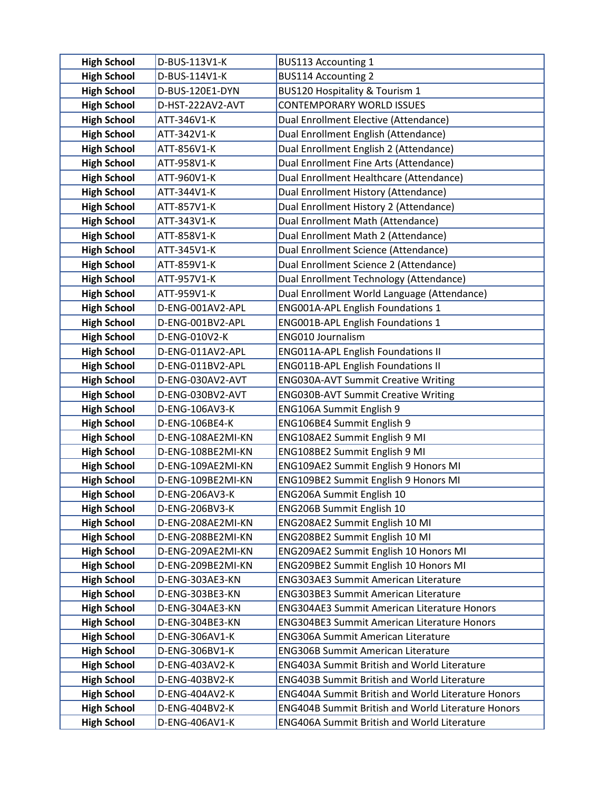| <b>High School</b>                       | D-BUS-113V1-K                    | <b>BUS113 Accounting 1</b>                                                                               |
|------------------------------------------|----------------------------------|----------------------------------------------------------------------------------------------------------|
| <b>High School</b>                       | D-BUS-114V1-K                    | <b>BUS114 Accounting 2</b>                                                                               |
| <b>High School</b>                       | D-BUS-120E1-DYN                  | <b>BUS120 Hospitality &amp; Tourism 1</b>                                                                |
| <b>High School</b>                       | D-HST-222AV2-AVT                 | <b>CONTEMPORARY WORLD ISSUES</b>                                                                         |
| <b>High School</b>                       | ATT-346V1-K                      | Dual Enrollment Elective (Attendance)                                                                    |
| <b>High School</b>                       | ATT-342V1-K                      | Dual Enrollment English (Attendance)                                                                     |
| <b>High School</b>                       | ATT-856V1-K                      | Dual Enrollment English 2 (Attendance)                                                                   |
| <b>High School</b>                       | ATT-958V1-K                      | Dual Enrollment Fine Arts (Attendance)                                                                   |
| <b>High School</b>                       | ATT-960V1-K                      | Dual Enrollment Healthcare (Attendance)                                                                  |
| <b>High School</b>                       | ATT-344V1-K                      | Dual Enrollment History (Attendance)                                                                     |
| <b>High School</b>                       | ATT-857V1-K                      | Dual Enrollment History 2 (Attendance)                                                                   |
| <b>High School</b>                       | ATT-343V1-K                      | Dual Enrollment Math (Attendance)                                                                        |
| <b>High School</b>                       | ATT-858V1-K                      | Dual Enrollment Math 2 (Attendance)                                                                      |
| <b>High School</b>                       | ATT-345V1-K                      | Dual Enrollment Science (Attendance)                                                                     |
| <b>High School</b>                       | ATT-859V1-K                      | Dual Enrollment Science 2 (Attendance)                                                                   |
| <b>High School</b>                       | ATT-957V1-K                      | Dual Enrollment Technology (Attendance)                                                                  |
| <b>High School</b>                       | ATT-959V1-K                      | Dual Enrollment World Language (Attendance)                                                              |
| <b>High School</b>                       | D-ENG-001AV2-APL                 | <b>ENG001A-APL English Foundations 1</b>                                                                 |
| <b>High School</b>                       | D-ENG-001BV2-APL                 | ENG001B-APL English Foundations 1                                                                        |
| <b>High School</b>                       | D-ENG-010V2-K                    | <b>ENG010 Journalism</b>                                                                                 |
| <b>High School</b>                       | D-ENG-011AV2-APL                 | <b>ENG011A-APL English Foundations II</b>                                                                |
| <b>High School</b>                       | D-ENG-011BV2-APL                 | <b>ENG011B-APL English Foundations II</b>                                                                |
| <b>High School</b>                       | D-ENG-030AV2-AVT                 | <b>ENG030A-AVT Summit Creative Writing</b>                                                               |
| <b>High School</b>                       | D-ENG-030BV2-AVT                 | <b>ENG030B-AVT Summit Creative Writing</b>                                                               |
| <b>High School</b>                       | D-ENG-106AV3-K                   | ENG106A Summit English 9                                                                                 |
| <b>High School</b>                       | D-ENG-106BE4-K                   | ENG106BE4 Summit English 9                                                                               |
| <b>High School</b>                       | D-ENG-108AE2MI-KN                | ENG108AE2 Summit English 9 MI                                                                            |
| <b>High School</b>                       | D-ENG-108BE2MI-KN                | ENG108BE2 Summit English 9 MI                                                                            |
| <b>High School</b>                       | D-ENG-109AE2MI-KN                | ENG109AE2 Summit English 9 Honors MI                                                                     |
| <b>High School</b>                       | D-ENG-109BE2MI-KN                | ENG109BE2 Summit English 9 Honors MI                                                                     |
| <b>High School</b>                       | D-ENG-206AV3-K                   | ENG206A Summit English 10                                                                                |
| <b>High School</b>                       | D-ENG-206BV3-K                   | ENG206B Summit English 10                                                                                |
| <b>High School</b>                       | D-ENG-208AE2MI-KN                | ENG208AE2 Summit English 10 MI                                                                           |
| <b>High School</b>                       | D-ENG-208BE2MI-KN                | ENG208BE2 Summit English 10 MI                                                                           |
| <b>High School</b>                       | D-ENG-209AE2MI-KN                | ENG209AE2 Summit English 10 Honors MI                                                                    |
| <b>High School</b>                       | D-ENG-209BE2MI-KN                | ENG209BE2 Summit English 10 Honors MI                                                                    |
| <b>High School</b>                       | D-ENG-303AE3-KN                  | <b>ENG303AE3 Summit American Literature</b>                                                              |
| <b>High School</b>                       | D-ENG-303BE3-KN                  | <b>ENG303BE3 Summit American Literature</b>                                                              |
| <b>High School</b>                       | D-ENG-304AE3-KN                  | ENG304AE3 Summit American Literature Honors                                                              |
| <b>High School</b>                       | D-ENG-304BE3-KN                  | <b>ENG304BE3 Summit American Literature Honors</b>                                                       |
| <b>High School</b>                       | D-ENG-306AV1-K                   | <b>ENG306A Summit American Literature</b>                                                                |
| <b>High School</b>                       | D-ENG-306BV1-K                   | <b>ENG306B Summit American Literature</b>                                                                |
| <b>High School</b><br><b>High School</b> | D-ENG-403AV2-K<br>D-ENG-403BV2-K | <b>ENG403A Summit British and World Literature</b><br><b>ENG403B Summit British and World Literature</b> |
| <b>High School</b>                       | D-ENG-404AV2-K                   | <b>ENG404A Summit British and World Literature Honors</b>                                                |
| <b>High School</b>                       | D-ENG-404BV2-K                   | <b>ENG404B Summit British and World Literature Honors</b>                                                |
| <b>High School</b>                       | D-ENG-406AV1-K                   | <b>ENG406A Summit British and World Literature</b>                                                       |
|                                          |                                  |                                                                                                          |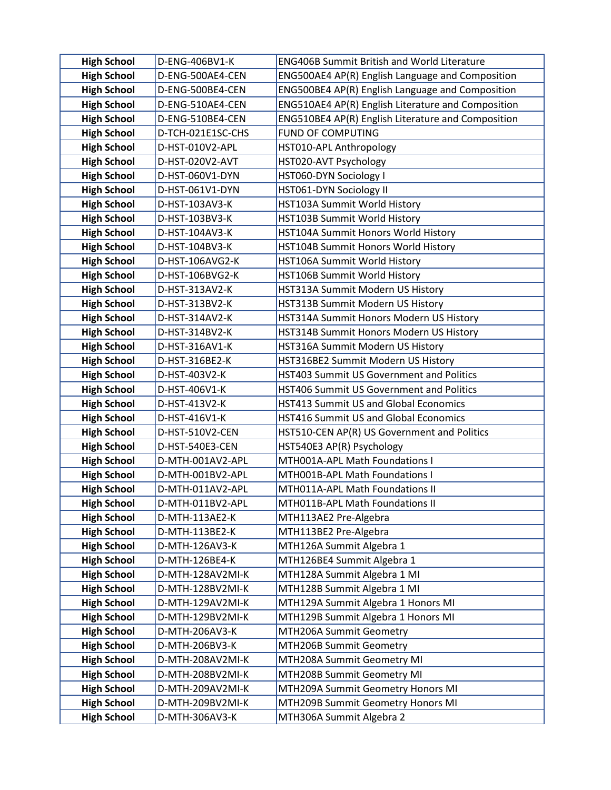| <b>High School</b>                       | D-ENG-406BV1-K                       | <b>ENG406B Summit British and World Literature</b>                 |
|------------------------------------------|--------------------------------------|--------------------------------------------------------------------|
| <b>High School</b>                       | D-ENG-500AE4-CEN                     | ENG500AE4 AP(R) English Language and Composition                   |
| <b>High School</b>                       | D-ENG-500BE4-CEN                     | ENG500BE4 AP(R) English Language and Composition                   |
| <b>High School</b>                       | D-ENG-510AE4-CEN                     | ENG510AE4 AP(R) English Literature and Composition                 |
| <b>High School</b>                       | D-ENG-510BE4-CEN                     | ENG510BE4 AP(R) English Literature and Composition                 |
| <b>High School</b>                       | D-TCH-021E1SC-CHS                    | <b>FUND OF COMPUTING</b>                                           |
| <b>High School</b>                       | D-HST-010V2-APL                      | HST010-APL Anthropology                                            |
| <b>High School</b>                       | D-HST-020V2-AVT                      | HST020-AVT Psychology                                              |
| <b>High School</b>                       | D-HST-060V1-DYN                      | HST060-DYN Sociology I                                             |
| <b>High School</b>                       | D-HST-061V1-DYN                      | HST061-DYN Sociology II                                            |
| <b>High School</b>                       | D-HST-103AV3-K                       | HST103A Summit World History                                       |
| <b>High School</b>                       | D-HST-103BV3-K                       | HST103B Summit World History                                       |
| <b>High School</b>                       | D-HST-104AV3-K                       | HST104A Summit Honors World History                                |
| <b>High School</b>                       | D-HST-104BV3-K                       | HST104B Summit Honors World History                                |
| <b>High School</b>                       | D-HST-106AVG2-K                      | HST106A Summit World History                                       |
| <b>High School</b>                       | D-HST-106BVG2-K                      | HST106B Summit World History                                       |
| <b>High School</b>                       | D-HST-313AV2-K                       | HST313A Summit Modern US History                                   |
| <b>High School</b>                       | D-HST-313BV2-K                       | HST313B Summit Modern US History                                   |
| <b>High School</b>                       | D-HST-314AV2-K                       | HST314A Summit Honors Modern US History                            |
| <b>High School</b>                       | D-HST-314BV2-K                       | HST314B Summit Honors Modern US History                            |
| <b>High School</b>                       | D-HST-316AV1-K                       | HST316A Summit Modern US History                                   |
| <b>High School</b>                       | D-HST-316BE2-K                       | HST316BE2 Summit Modern US History                                 |
| <b>High School</b>                       | D-HST-403V2-K                        | HST403 Summit US Government and Politics                           |
| <b>High School</b>                       | D-HST-406V1-K                        | HST406 Summit US Government and Politics                           |
| <b>High School</b>                       | D-HST-413V2-K                        | <b>HST413 Summit US and Global Economics</b>                       |
| <b>High School</b>                       | D-HST-416V1-K                        | <b>HST416 Summit US and Global Economics</b>                       |
| <b>High School</b>                       | D-HST-510V2-CEN                      | HST510-CEN AP(R) US Government and Politics                        |
| <b>High School</b>                       | D-HST-540E3-CEN                      | HST540E3 AP(R) Psychology                                          |
| <b>High School</b>                       | D-MTH-001AV2-APL                     | MTH001A-APL Math Foundations I                                     |
| <b>High School</b>                       | D-MTH-001BV2-APL                     | MTH001B-APL Math Foundations I                                     |
| <b>High School</b><br><b>High School</b> | D-MTH-011AV2-APL<br>D-MTH-011BV2-APL | MTH011A-APL Math Foundations II<br>MTH011B-APL Math Foundations II |
| <b>High School</b>                       | D-MTH-113AE2-K                       | MTH113AE2 Pre-Algebra                                              |
| <b>High School</b>                       | D-MTH-113BE2-K                       | MTH113BE2 Pre-Algebra                                              |
| <b>High School</b>                       | D-MTH-126AV3-K                       | MTH126A Summit Algebra 1                                           |
| <b>High School</b>                       | D-MTH-126BE4-K                       | MTH126BE4 Summit Algebra 1                                         |
| <b>High School</b>                       | D-MTH-128AV2MI-K                     | MTH128A Summit Algebra 1 MI                                        |
| <b>High School</b>                       | D-MTH-128BV2MI-K                     | MTH128B Summit Algebra 1 MI                                        |
| <b>High School</b>                       | D-MTH-129AV2MI-K                     | MTH129A Summit Algebra 1 Honors MI                                 |
| <b>High School</b>                       | D-MTH-129BV2MI-K                     | MTH129B Summit Algebra 1 Honors MI                                 |
| <b>High School</b>                       | D-MTH-206AV3-K                       | MTH206A Summit Geometry                                            |
| <b>High School</b>                       | D-MTH-206BV3-K                       | MTH206B Summit Geometry                                            |
| <b>High School</b>                       | D-MTH-208AV2MI-K                     | MTH208A Summit Geometry MI                                         |
| <b>High School</b>                       | D-MTH-208BV2MI-K                     | MTH208B Summit Geometry MI                                         |
| <b>High School</b>                       | D-MTH-209AV2MI-K                     | MTH209A Summit Geometry Honors MI                                  |
| <b>High School</b>                       | D-MTH-209BV2MI-K                     | MTH209B Summit Geometry Honors MI                                  |
| <b>High School</b>                       | D-MTH-306AV3-K                       | MTH306A Summit Algebra 2                                           |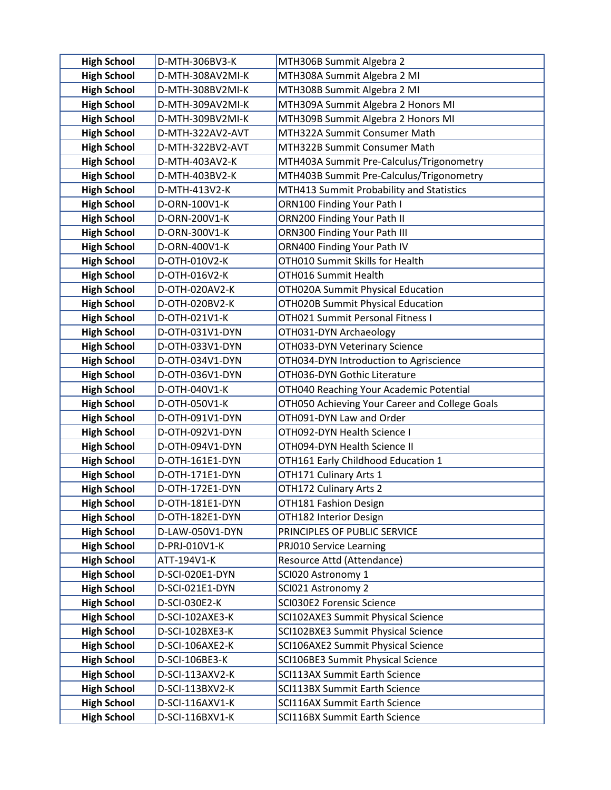| <b>High School</b>                       | D-MTH-306BV3-K                   | MTH306B Summit Algebra 2                              |
|------------------------------------------|----------------------------------|-------------------------------------------------------|
| <b>High School</b>                       | D-MTH-308AV2MI-K                 | MTH308A Summit Algebra 2 MI                           |
| <b>High School</b>                       | D-MTH-308BV2MI-K                 | MTH308B Summit Algebra 2 MI                           |
| <b>High School</b>                       | D-MTH-309AV2MI-K                 | MTH309A Summit Algebra 2 Honors MI                    |
| <b>High School</b>                       | D-MTH-309BV2MI-K                 | MTH309B Summit Algebra 2 Honors MI                    |
| <b>High School</b>                       | D-MTH-322AV2-AVT                 | MTH322A Summit Consumer Math                          |
| <b>High School</b>                       | D-MTH-322BV2-AVT                 | MTH322B Summit Consumer Math                          |
| <b>High School</b>                       | D-MTH-403AV2-K                   | MTH403A Summit Pre-Calculus/Trigonometry              |
| <b>High School</b>                       | D-MTH-403BV2-K                   | MTH403B Summit Pre-Calculus/Trigonometry              |
| <b>High School</b>                       | D-MTH-413V2-K                    | MTH413 Summit Probability and Statistics              |
| <b>High School</b>                       | D-ORN-100V1-K                    | ORN100 Finding Your Path I                            |
| <b>High School</b>                       | D-ORN-200V1-K                    | ORN200 Finding Your Path II                           |
| <b>High School</b>                       | D-ORN-300V1-K                    | ORN300 Finding Your Path III                          |
| <b>High School</b>                       | D-ORN-400V1-K                    | ORN400 Finding Your Path IV                           |
| <b>High School</b>                       | D-OTH-010V2-K                    | OTH010 Summit Skills for Health                       |
| <b>High School</b>                       | D-OTH-016V2-K                    | OTH016 Summit Health                                  |
| <b>High School</b>                       | D-OTH-020AV2-K                   | OTH020A Summit Physical Education                     |
| <b>High School</b>                       | D-OTH-020BV2-K                   | OTH020B Summit Physical Education                     |
| <b>High School</b>                       | D-OTH-021V1-K                    | OTH021 Summit Personal Fitness I                      |
| <b>High School</b>                       | D-OTH-031V1-DYN                  | OTH031-DYN Archaeology                                |
| <b>High School</b>                       | D-OTH-033V1-DYN                  | OTH033-DYN Veterinary Science                         |
| <b>High School</b>                       | D-OTH-034V1-DYN                  | OTH034-DYN Introduction to Agriscience                |
| <b>High School</b>                       | D-OTH-036V1-DYN                  | OTH036-DYN Gothic Literature                          |
| <b>High School</b>                       | D-OTH-040V1-K                    | OTH040 Reaching Your Academic Potential               |
| <b>High School</b>                       | D-OTH-050V1-K                    | OTH050 Achieving Your Career and College Goals        |
| <b>High School</b>                       | D-OTH-091V1-DYN                  | OTH091-DYN Law and Order                              |
| <b>High School</b>                       | D-OTH-092V1-DYN                  | OTH092-DYN Health Science I                           |
| <b>High School</b>                       | D-OTH-094V1-DYN                  | OTH094-DYN Health Science II                          |
| <b>High School</b>                       | D-OTH-161E1-DYN                  | OTH161 Early Childhood Education 1                    |
| <b>High School</b>                       | D-OTH-171E1-DYN                  | OTH171 Culinary Arts 1                                |
| <b>High School</b>                       | D-OTH-172E1-DYN                  | OTH172 Culinary Arts 2                                |
| <b>High School</b>                       | D-OTH-181E1-DYN                  | OTH181 Fashion Design                                 |
| <b>High School</b>                       | D-OTH-182E1-DYN                  | OTH182 Interior Design                                |
| <b>High School</b><br><b>High School</b> | D-LAW-050V1-DYN<br>D-PRJ-010V1-K | PRINCIPLES OF PUBLIC SERVICE                          |
| <b>High School</b>                       | ATT-194V1-K                      | PRJ010 Service Learning<br>Resource Attd (Attendance) |
| <b>High School</b>                       | D-SCI-020E1-DYN                  | SCI020 Astronomy 1                                    |
| <b>High School</b>                       | D-SCI-021E1-DYN                  | SCI021 Astronomy 2                                    |
| <b>High School</b>                       | D-SCI-030E2-K                    | SCI030E2 Forensic Science                             |
| <b>High School</b>                       | D-SCI-102AXE3-K                  | SCI102AXE3 Summit Physical Science                    |
| <b>High School</b>                       | D-SCI-102BXE3-K                  | SCI102BXE3 Summit Physical Science                    |
| <b>High School</b>                       | D-SCI-106AXE2-K                  | SCI106AXE2 Summit Physical Science                    |
| <b>High School</b>                       | D-SCI-106BE3-K                   | SCI106BE3 Summit Physical Science                     |
| <b>High School</b>                       | D-SCI-113AXV2-K                  | SCI113AX Summit Earth Science                         |
| <b>High School</b>                       | D-SCI-113BXV2-K                  | <b>SCI113BX Summit Earth Science</b>                  |
| <b>High School</b>                       | D-SCI-116AXV1-K                  | <b>SCI116AX Summit Earth Science</b>                  |
| <b>High School</b>                       | D-SCI-116BXV1-K                  | SCI116BX Summit Earth Science                         |
|                                          |                                  |                                                       |